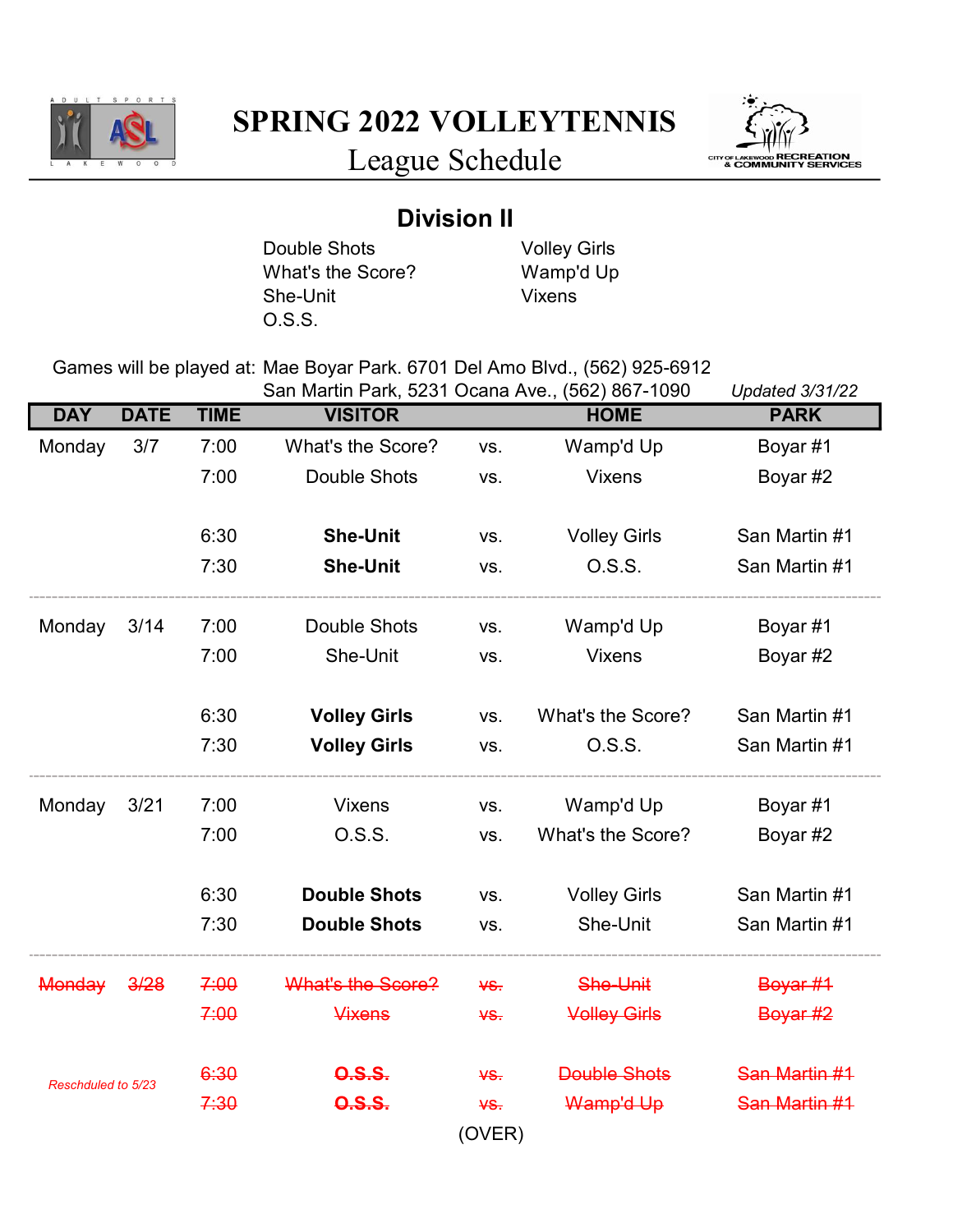

SPRING 2022 VOLLEYTENNIS



League Schedule

## Division II

Double Shots Volley Girls<br>
What's the Score? Wamp'd Up What's the Score? Wamp's<br>She-Unit Vixens She-Unit O.S.S.

Games will be played at: Mae Boyar Park. 6701 Del Amo Blvd., (562) 925-6912

|                    |             |             | San Martin Park, 5231 Ocana Ave., (562) 867-1090 |        |                     | <b>Updated 3/31/22</b> |
|--------------------|-------------|-------------|--------------------------------------------------|--------|---------------------|------------------------|
| <b>DAY</b>         | <b>DATE</b> | <b>TIME</b> | <b>VISITOR</b>                                   |        | <b>HOME</b>         | <b>PARK</b>            |
| Monday             | 3/7         | 7:00        | What's the Score?                                | VS.    | Wamp'd Up           | Boyar #1               |
|                    |             | 7:00        | <b>Double Shots</b>                              | VS.    | <b>Vixens</b>       | Boyar #2               |
|                    |             | 6:30        | <b>She-Unit</b>                                  | VS.    | <b>Volley Girls</b> | San Martin #1          |
|                    |             | 7:30        | <b>She-Unit</b>                                  | VS.    | 0.S.S.              | San Martin #1          |
| Monday             | 3/14        | 7:00        | <b>Double Shots</b>                              | VS.    | Wamp'd Up           | Boyar #1               |
|                    |             | 7:00        | She-Unit                                         | VS.    | <b>Vixens</b>       | Boyar #2               |
|                    |             | 6:30        | <b>Volley Girls</b>                              | VS.    | What's the Score?   | San Martin #1          |
|                    |             | 7:30        | <b>Volley Girls</b>                              | VS.    | 0.S.S.              | San Martin #1          |
| Monday             | 3/21        | 7:00        | <b>Vixens</b>                                    | VS.    | Wamp'd Up           | Boyar #1               |
|                    |             | 7:00        | O.S.S.                                           | VS.    | What's the Score?   | Boyar #2               |
|                    |             | 6:30        | <b>Double Shots</b>                              | VS.    | <b>Volley Girls</b> | San Martin #1          |
|                    |             | 7:30        | <b>Double Shots</b>                              | VS.    | She-Unit            | San Martin #1          |
| <b>Monday</b>      | 3/28        | 7:00        | What's the Score?                                | $45$   | She-Unit            | Boyar #1               |
|                    |             | 7:00        | <b>Vixens</b>                                    | $45$   | <b>Volley Girls</b> | Boyar #2               |
| Reschduled to 5/23 |             | 6:30        | <b>0.S.S.</b>                                    | ¥S.    | <b>Double Shots</b> | San Martin #1          |
|                    |             | 7:30        | <b>0.S.S.</b>                                    | ¥S.    | Wamp'd Up           | San Martin #1          |
|                    |             |             |                                                  | (OVER) |                     |                        |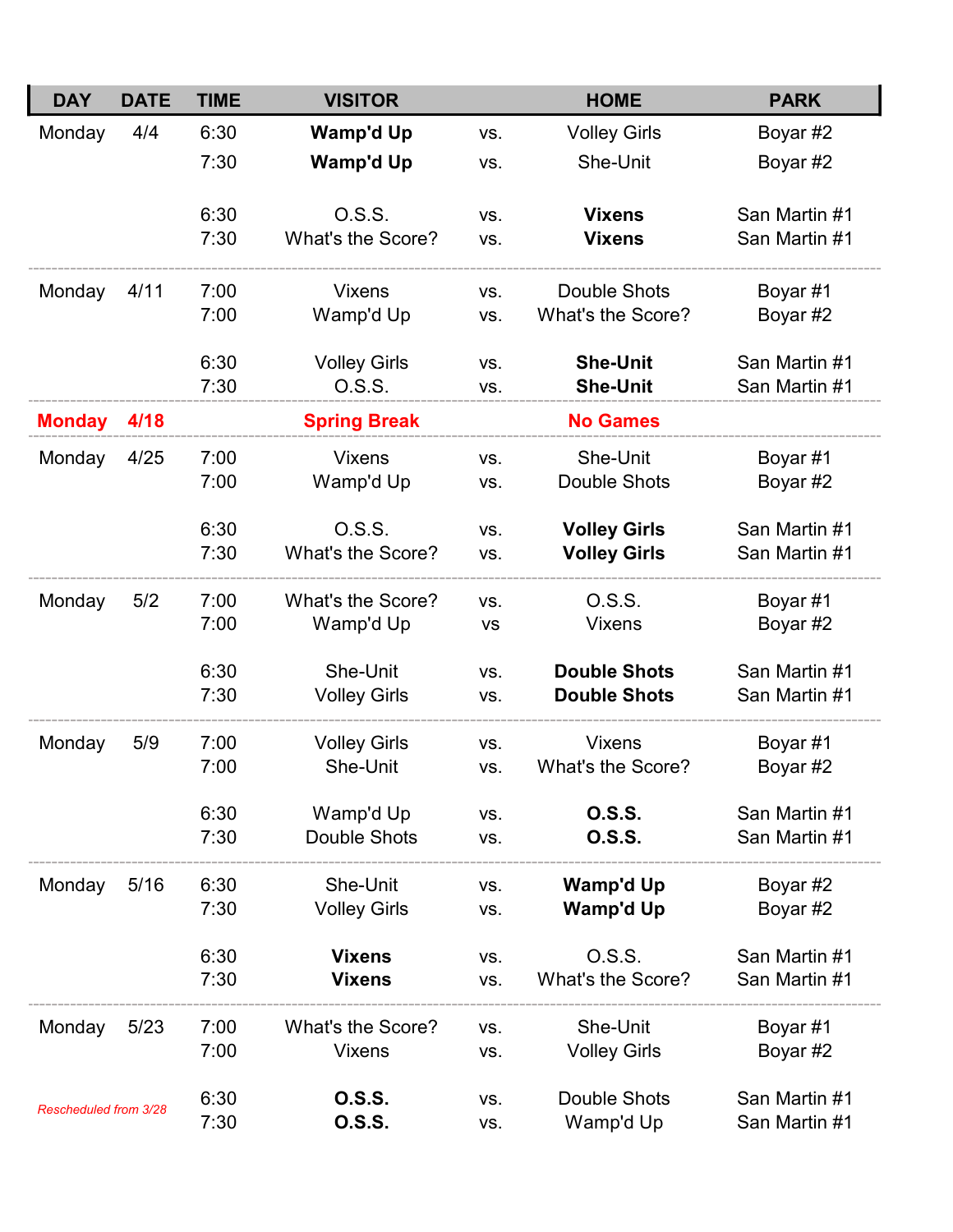| <b>DAY</b>            | <b>DATE</b> | <b>TIME</b>  | <b>VISITOR</b>              |            | <b>HOME</b>                    | <b>PARK</b>                    |
|-----------------------|-------------|--------------|-----------------------------|------------|--------------------------------|--------------------------------|
| Monday                | 4/4         | 6:30         | <b>Wamp'd Up</b>            | VS.        | <b>Volley Girls</b>            | Boyar #2                       |
|                       |             | 7:30         | Wamp'd Up                   | VS.        | She-Unit                       | Boyar #2                       |
|                       |             | 6:30<br>7:30 | O.S.S.<br>What's the Score? | VS.<br>VS. | <b>Vixens</b><br><b>Vixens</b> | San Martin #1<br>San Martin #1 |
|                       |             |              |                             |            |                                |                                |
| Monday                | 4/11        | 7:00         | <b>Vixens</b>               | VS.        | <b>Double Shots</b>            | Boyar #1                       |
|                       |             | 7:00         | Wamp'd Up                   | VS.        | What's the Score?              | Boyar #2                       |
|                       |             | 6:30         | <b>Volley Girls</b>         | VS.        | <b>She-Unit</b>                | San Martin #1                  |
|                       |             | 7:30         | 0.S.S.                      | VS.        | <b>She-Unit</b>                | San Martin #1                  |
| <b>Monday</b>         | 4/18        |              | <b>Spring Break</b>         |            | <b>No Games</b>                |                                |
| Monday                | 4/25        | 7:00         | <b>Vixens</b>               | VS.        | She-Unit                       | Boyar #1                       |
|                       |             | 7:00         | Wamp'd Up                   | VS.        | <b>Double Shots</b>            | Boyar #2                       |
|                       |             | 6:30         | 0.S.S.                      | VS.        | <b>Volley Girls</b>            | San Martin #1                  |
|                       |             | 7:30         | What's the Score?           | VS.        | <b>Volley Girls</b>            | San Martin #1                  |
| Monday                | 5/2         | 7:00         | What's the Score?           | VS.        | 0.S.S.                         | Boyar #1                       |
|                       |             | 7:00         | Wamp'd Up                   | VS         | <b>Vixens</b>                  | Boyar #2                       |
|                       |             | 6:30         | She-Unit                    | VS.        | <b>Double Shots</b>            | San Martin #1                  |
|                       |             | 7:30         | <b>Volley Girls</b>         | VS.        | <b>Double Shots</b>            | San Martin #1                  |
| Monday                | 5/9         | 7:00         | <b>Volley Girls</b>         | VS.        | <b>Vixens</b>                  | Boyar #1                       |
|                       |             | 7:00         | She-Unit                    | VS.        | What's the Score?              | Boyar #2                       |
|                       |             | 6:30         | Wamp'd Up                   | VS.        | <b>0.S.S.</b>                  | San Martin #1                  |
|                       |             | 7:30         | Double Shots                | VS.        | <b>0.S.S.</b>                  | San Martin #1                  |
| Monday                | 5/16        | 6:30         | She-Unit                    | VS.        | Wamp'd Up                      | Boyar #2                       |
|                       |             | 7:30         | <b>Volley Girls</b>         | VS.        | Wamp'd Up                      | Boyar #2                       |
|                       |             | 6:30         | <b>Vixens</b>               | VS.        | 0.S.S.                         | San Martin #1                  |
|                       |             | 7:30         | <b>Vixens</b>               | VS.        | What's the Score?              | San Martin #1                  |
| Monday                | 5/23        | 7:00         | What's the Score?           | VS.        | She-Unit                       | Boyar #1                       |
|                       |             | 7:00         | <b>Vixens</b>               | VS.        | <b>Volley Girls</b>            | Boyar #2                       |
|                       |             | 6:30         | <b>0.S.S.</b>               | VS.        | Double Shots                   | San Martin #1                  |
| Rescheduled from 3/28 |             | 7:30         | <b>0.S.S.</b>               | VS.        | Wamp'd Up                      | San Martin #1                  |